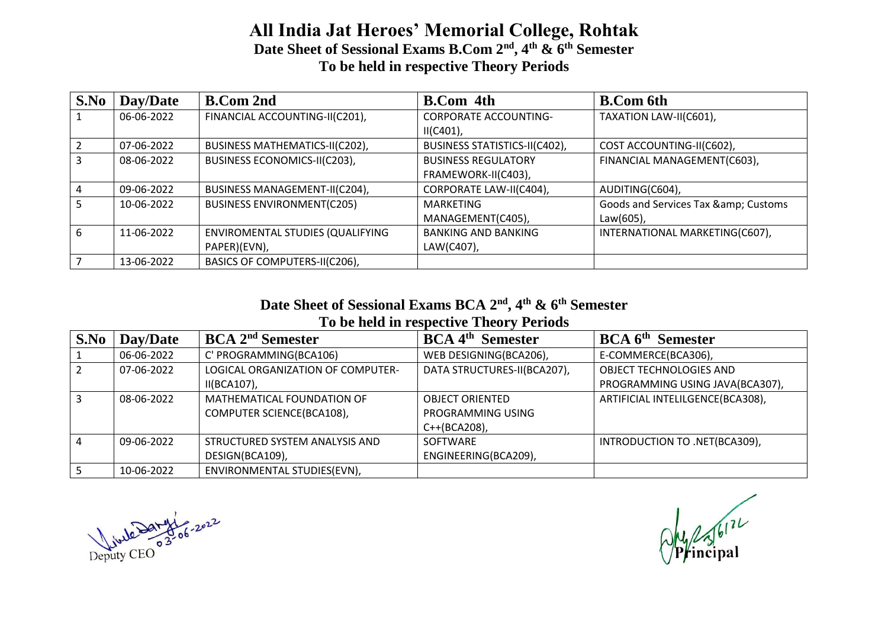### **All India Jat Heroes' Memorial College, Rohtak Date Sheet of Sessional Exams B.Com 2nd, 4th & 6th Semester To be held in respective Theory Periods**

| S.No | Day/Date   | <b>B.Com 2nd</b>                  | <b>B.Com</b> 4th              | <b>B.Com 6th</b>                 |
|------|------------|-----------------------------------|-------------------------------|----------------------------------|
|      | 06-06-2022 | FINANCIAL ACCOUNTING-II(C201),    | <b>CORPORATE ACCOUNTING-</b>  | TAXATION LAW-II(C601),           |
|      |            |                                   | $II(C401)$ ,                  |                                  |
|      | 07-06-2022 | BUSINESS MATHEMATICS-II(C202),    | BUSINESS STATISTICS-II(C402), | COST ACCOUNTING-II(C602),        |
|      | 08-06-2022 | BUSINESS ECONOMICS-II(C203),      | <b>BUSINESS REGULATORY</b>    | FINANCIAL MANAGEMENT(C603),      |
|      |            |                                   | FRAMEWORK-II(C403),           |                                  |
|      | 09-06-2022 | BUSINESS MANAGEMENT-II(C204),     | CORPORATE LAW-II(C404),       | AUDITING(C604),                  |
|      | 10-06-2022 | <b>BUSINESS ENVIRONMENT(C205)</b> | <b>MARKETING</b>              | Goods and Services Tax & Customs |
|      |            |                                   | MANAGEMENT(C405),             | Law(605),                        |
| 6    | 11-06-2022 | ENVIROMENTAL STUDIES (QUALIFYING  | <b>BANKING AND BANKING</b>    | INTERNATIONAL MARKETING(C607),   |
|      |            | PAPER)(EVN),                      | LAW(C407),                    |                                  |
|      | 13-06-2022 | BASICS OF COMPUTERS-II(C206),     |                               |                                  |

#### **Date Sheet of Sessional Exams BCA 2nd, 4th & 6th Semester To be held in respective Theory Periods**

| S.No | Day/Date   | <b>BCA 2<sup>nd</sup> Semester</b> | <b>BCA</b> 4 <sup>th</sup> Semester | <b>BCA</b> 6 <sup>th</sup> Semester |
|------|------------|------------------------------------|-------------------------------------|-------------------------------------|
|      | 06-06-2022 | C' PROGRAMMING(BCA106)             | WEB DESIGNING(BCA206),              | E-COMMERCE(BCA306),                 |
|      | 07-06-2022 | LOGICAL ORGANIZATION OF COMPUTER-  | DATA STRUCTURES-II(BCA207),         | OBJECT TECHNOLOGIES AND             |
|      |            | $II(BCA107)$ ,                     |                                     | PROGRAMMING USING JAVA(BCA307),     |
|      | 08-06-2022 | MATHEMATICAL FOUNDATION OF         | <b>OBJECT ORIENTED</b>              | ARTIFICIAL INTELILGENCE(BCA308),    |
|      |            | COMPUTER SCIENCE(BCA108),          | PROGRAMMING USING                   |                                     |
|      |            |                                    | C++(BCA208),                        |                                     |
| 4    | 09-06-2022 | STRUCTURED SYSTEM ANALYSIS AND     | SOFTWARE                            | INTRODUCTION TO .NET(BCA309),       |
|      |            | DESIGN(BCA109),                    | ENGINEERING(BCA209),                |                                     |
|      | 10-06-2022 | ENVIRONMENTAL STUDIES(EVN),        |                                     |                                     |

Deputy CEO 03-06-2022

Oly 256172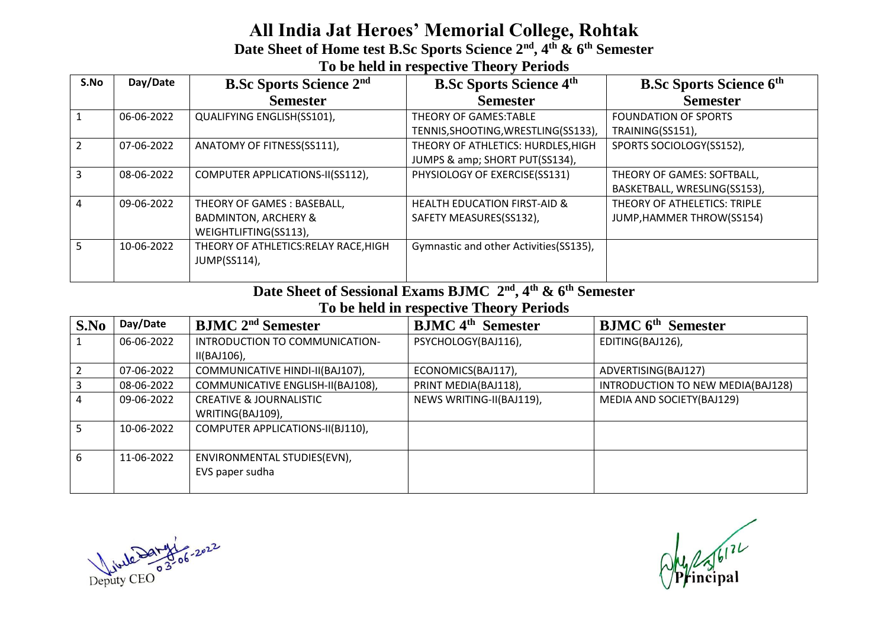### **All India Jat Heroes' Memorial College, Rohtak Date Sheet of Home test B.Sc Sports Science 2nd, 4th & 6th Semester To be held in respective Theory Periods**

| S.No | Day/Date   | <b>B.Sc Sports Science 2nd</b>        | <b>B.Sc Sports Science 4th</b>          | <b>B.Sc Sports Science 6th</b> |
|------|------------|---------------------------------------|-----------------------------------------|--------------------------------|
|      |            | <b>Semester</b>                       | <b>Semester</b>                         | <b>Semester</b>                |
|      | 06-06-2022 | QUALIFYING ENGLISH(SS101),            | THEORY OF GAMES:TABLE                   | <b>FOUNDATION OF SPORTS</b>    |
|      |            |                                       | TENNIS, SHOOTING, WRESTLING (SS133),    | TRAINING(SS151),               |
|      | 07-06-2022 | ANATOMY OF FITNESS(SS111),            | THEORY OF ATHLETICS: HURDLES, HIGH      | SPORTS SOCIOLOGY(SS152),       |
|      |            |                                       | JUMPS & amp; SHORT PUT(SS134),          |                                |
|      | 08-06-2022 | COMPUTER APPLICATIONS-II(SS112),      | PHYSIOLOGY OF EXERCISE(SS131)           | THEORY OF GAMES: SOFTBALL,     |
|      |            |                                       |                                         | BASKETBALL, WRESLING(SS153),   |
| 4    | 09-06-2022 | THEORY OF GAMES : BASEBALL,           | <b>HEALTH EDUCATION FIRST-AID &amp;</b> | THEORY OF ATHELETICS: TRIPLE   |
|      |            | <b>BADMINTON, ARCHERY &amp;</b>       | SAFETY MEASURES(SS132),                 | JUMP, HAMMER THROW(SS154)      |
|      |            | WEIGHTLIFTING(SS113),                 |                                         |                                |
|      | 10-06-2022 | THEORY OF ATHLETICS: RELAY RACE, HIGH | Gymnastic and other Activities (SS135), |                                |
|      |            | JUMP(SS114),                          |                                         |                                |
|      |            |                                       |                                         |                                |

# **Date Sheet of Sessional Exams BJMC 2nd, 4th & 6th Semester**

### **To be held in respective Theory Periods**

| S.No | Day/Date   | <b>BJMC 2<sup>nd</sup> Semester</b> | <b>BJMC</b> 4 <sup>th</sup> Semester | <b>BJMC</b> 6 <sup>th</sup> Semester |
|------|------------|-------------------------------------|--------------------------------------|--------------------------------------|
|      | 06-06-2022 | INTRODUCTION TO COMMUNICATION-      | PSYCHOLOGY(BAJ116),                  | EDITING(BAJ126),                     |
|      |            | $II(BAJ106)$ ,                      |                                      |                                      |
|      | 07-06-2022 | COMMUNICATIVE HINDI-II(BAJ107),     | ECONOMICS(BAJ117),                   | ADVERTISING(BAJ127)                  |
|      | 08-06-2022 | COMMUNICATIVE ENGLISH-II(BAJ108),   | PRINT MEDIA(BAJ118),                 | INTRODUCTION TO NEW MEDIA(BAJ128)    |
| 4    | 09-06-2022 | <b>CREATIVE &amp; JOURNALISTIC</b>  | NEWS WRITING-II(BAJ119),             | MEDIA AND SOCIETY(BAJ129)            |
|      |            | WRITING(BAJ109),                    |                                      |                                      |
| 5    | 10-06-2022 | COMPUTER APPLICATIONS-II(BJ110),    |                                      |                                      |
|      |            |                                     |                                      |                                      |
| 6    | 11-06-2022 | ENVIRONMENTAL STUDIES(EVN),         |                                      |                                      |
|      |            | EVS paper sudha                     |                                      |                                      |
|      |            |                                     |                                      |                                      |

Deputy CEO 3206-2022

 $O<sub>Pl</sub>$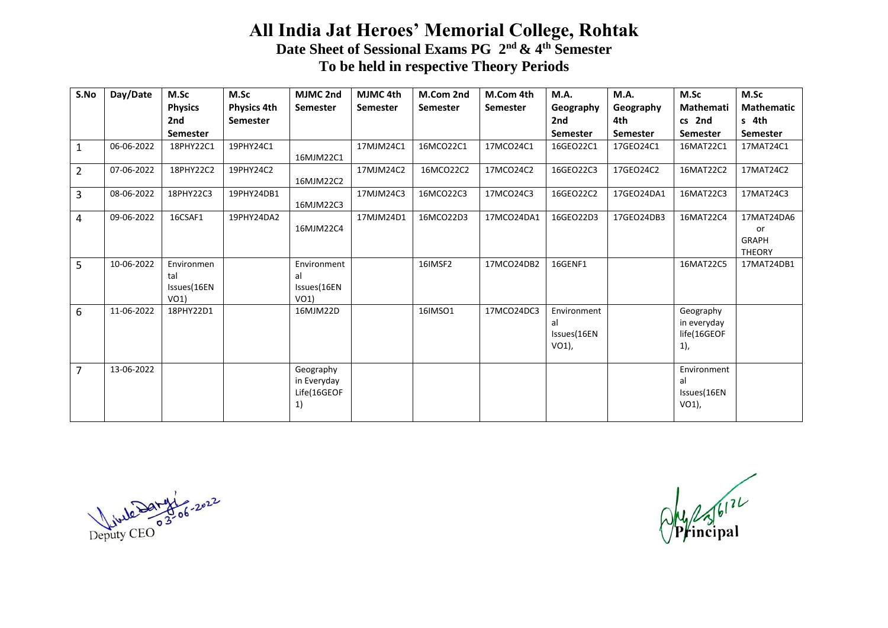## **All India Jat Heroes' Memorial College, Rohtak Date Sheet of Sessional Exams PG 2nd & 4th Semester To be held in respective Theory Periods**

| S.No           | Day/Date   | M.Sc                                     | M.Sc               | MJMC 2nd                                      | MJMC 4th        | M.Com 2nd | M.Com 4th       | M.A.                                         | M.A.       | M.Sc                                           | M.Sc                                              |
|----------------|------------|------------------------------------------|--------------------|-----------------------------------------------|-----------------|-----------|-----------------|----------------------------------------------|------------|------------------------------------------------|---------------------------------------------------|
|                |            | <b>Physics</b>                           | <b>Physics 4th</b> | Semester                                      | <b>Semester</b> | Semester  | <b>Semester</b> | Geography                                    | Geography  | Mathemati                                      | <b>Mathematic</b>                                 |
|                |            | 2nd                                      | <b>Semester</b>    |                                               |                 |           |                 | 2nd                                          | 4th        | cs 2nd                                         | s 4th                                             |
|                |            | <b>Semester</b>                          |                    |                                               |                 |           |                 | Semester                                     | Semester   | <b>Semester</b>                                | <b>Semester</b>                                   |
| 1              | 06-06-2022 | 18PHY22C1                                | 19PHY24C1          | 16MJM22C1                                     | 17MJM24C1       | 16MCO22C1 | 17MCO24C1       | 16GEO22C1                                    | 17GEO24C1  | 16MAT22C1                                      | 17MAT24C1                                         |
| $\overline{2}$ | 07-06-2022 | 18PHY22C2                                | 19PHY24C2          | 16MJM22C2                                     | 17MJM24C2       | 16MCO22C2 | 17MCO24C2       | 16GEO22C3                                    | 17GEO24C2  | 16MAT22C2                                      | 17MAT24C2                                         |
| 3              | 08-06-2022 | 18PHY22C3                                | 19PHY24DB1         | 16MJM22C3                                     | 17MJM24C3       | 16MCO22C3 | 17MCO24C3       | 16GEO22C2                                    | 17GEO24DA1 | 16MAT22C3                                      | 17MAT24C3                                         |
| 4              | 09-06-2022 | 16CSAF1                                  | 19PHY24DA2         | 16MJM22C4                                     | 17MJM24D1       | 16MCO22D3 | 17MCO24DA1      | 16GEO22D3                                    | 17GEO24DB3 | 16MAT22C4                                      | 17MAT24DA6<br>or<br><b>GRAPH</b><br><b>THEORY</b> |
| 5              | 10-06-2022 | Environmen<br>tal<br>Issues(16EN<br>VO1) |                    | Environment<br>al<br>Issues(16EN<br>VO1)      |                 | 16IMSF2   | 17MCO24DB2      | 16GENF1                                      |            | 16MAT22C5                                      | 17MAT24DB1                                        |
| 6              | 11-06-2022 | 18PHY22D1                                |                    | 16MJM22D                                      |                 | 16IMSO1   | 17MCO24DC3      | Environment<br>al<br>Issues(16EN<br>$VO1$ ), |            | Geography<br>in everyday<br>life(16GEOF<br>1), |                                                   |
| 7              | 13-06-2022 |                                          |                    | Geography<br>in Everyday<br>Life(16GEOF<br>1) |                 |           |                 |                                              |            | Environment<br>al<br>Issues(16EN<br>VO1),      |                                                   |

Deputy CEO 33-06-2022

 $\frac{1}{\sqrt{\frac{1}{\sqrt{2}}}}$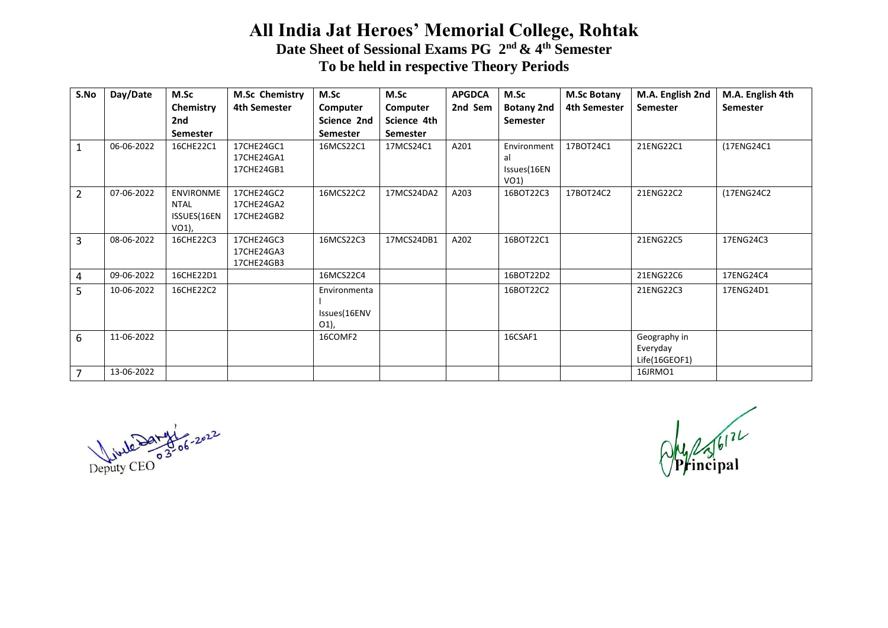## **All India Jat Heroes' Memorial College, Rohtak Date Sheet of Sessional Exams PG 2nd & 4th Semester To be held in respective Theory Periods**

| S.No           | Day/Date   | M.Sc             | <b>M.Sc Chemistry</b> | M.Sc         | M.Sc            | <b>APGDCA</b> | M.Sc              | <b>M.Sc Botany</b>  | M.A. English 2nd | M.A. English 4th |
|----------------|------------|------------------|-----------------------|--------------|-----------------|---------------|-------------------|---------------------|------------------|------------------|
|                |            | Chemistry        | 4th Semester          | Computer     | Computer        | 2nd Sem       | <b>Botany 2nd</b> | <b>4th Semester</b> | <b>Semester</b>  | <b>Semester</b>  |
|                |            | 2nd              |                       | Science 2nd  | Science 4th     |               | Semester          |                     |                  |                  |
|                |            | <b>Semester</b>  |                       | Semester     | <b>Semester</b> |               |                   |                     |                  |                  |
| 1              | 06-06-2022 | 16CHE22C1        | 17CHE24GC1            | 16MCS22C1    | 17MCS24C1       | A201          | Environment       | 17BOT24C1           | 21ENG22C1        | (17ENG24C1       |
|                |            |                  | 17CHE24GA1            |              |                 |               | al                |                     |                  |                  |
|                |            |                  | 17CHE24GB1            |              |                 |               | Issues(16EN       |                     |                  |                  |
|                |            |                  |                       |              |                 |               | VO1)              |                     |                  |                  |
| 2              | 07-06-2022 | <b>ENVIRONME</b> | 17CHE24GC2            | 16MCS22C2    | 17MCS24DA2      | A203          | 16BOT22C3         | 17BOT24C2           | 21ENG22C2        | (17ENG24C2       |
|                |            | <b>NTAL</b>      | 17CHE24GA2            |              |                 |               |                   |                     |                  |                  |
|                |            | ISSUES(16EN      | 17CHE24GB2            |              |                 |               |                   |                     |                  |                  |
|                |            | VO1),            |                       |              |                 |               |                   |                     |                  |                  |
| 3              | 08-06-2022 | 16CHE22C3        | 17CHE24GC3            | 16MCS22C3    | 17MCS24DB1      | A202          | 16BOT22C1         |                     | 21ENG22C5        | 17ENG24C3        |
|                |            |                  | 17CHE24GA3            |              |                 |               |                   |                     |                  |                  |
|                |            |                  | 17CHE24GB3            |              |                 |               |                   |                     |                  |                  |
| 4              | 09-06-2022 | 16CHE22D1        |                       | 16MCS22C4    |                 |               | 16BOT22D2         |                     | 21ENG22C6        | 17ENG24C4        |
| 5              | 10-06-2022 | 16CHE22C2        |                       | Environmenta |                 |               | 16BOT22C2         |                     | 21ENG22C3        | 17ENG24D1        |
|                |            |                  |                       |              |                 |               |                   |                     |                  |                  |
|                |            |                  |                       | Issues(16ENV |                 |               |                   |                     |                  |                  |
|                |            |                  |                       | O1),         |                 |               |                   |                     |                  |                  |
| 6              | 11-06-2022 |                  |                       | 16COMF2      |                 |               | 16CSAF1           |                     | Geography in     |                  |
|                |            |                  |                       |              |                 |               |                   |                     | Everyday         |                  |
|                |            |                  |                       |              |                 |               |                   |                     | Life(16GEOF1)    |                  |
| $\overline{7}$ | 13-06-2022 |                  |                       |              |                 |               |                   |                     | 16JRMO1          |                  |

Deputy CEO 33-06-2022

 $\frac{1}{\sqrt{\frac{1}{\sqrt{2}}}}$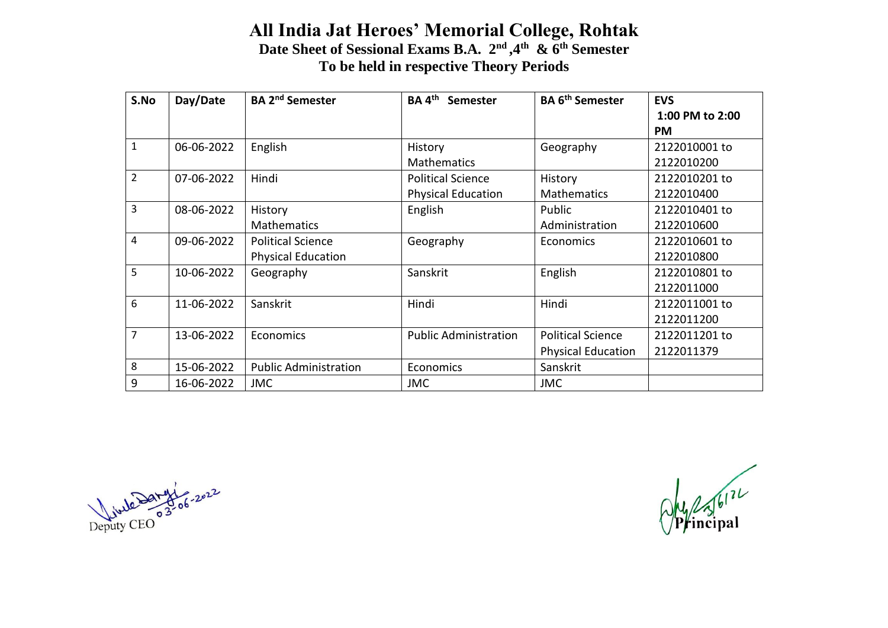## **All India Jat Heroes' Memorial College, Rohtak Date Sheet of Sessional Exams B.A. 2nd ,4th & 6th Semester To be held in respective Theory Periods**

| S.No           | Day/Date   | <b>BA 2<sup>nd</sup> Semester</b> | $BA$ 4 <sup>th</sup><br>Semester | <b>BA 6<sup>th</sup> Semester</b> | <b>EVS</b>      |
|----------------|------------|-----------------------------------|----------------------------------|-----------------------------------|-----------------|
|                |            |                                   |                                  |                                   | 1:00 PM to 2:00 |
|                |            |                                   |                                  |                                   | <b>PM</b>       |
| $\mathbf{1}$   | 06-06-2022 | English                           | History                          | Geography                         | 2122010001 to   |
|                |            |                                   | <b>Mathematics</b>               |                                   | 2122010200      |
| $\overline{2}$ | 07-06-2022 | Hindi                             | <b>Political Science</b>         | History                           | 2122010201 to   |
|                |            |                                   | <b>Physical Education</b>        | <b>Mathematics</b>                | 2122010400      |
| $\overline{3}$ | 08-06-2022 | History                           | English                          | Public                            | 2122010401 to   |
|                |            | <b>Mathematics</b>                |                                  | Administration                    | 2122010600      |
| 4              | 09-06-2022 | <b>Political Science</b>          | Geography                        | <b>Economics</b>                  | 2122010601 to   |
|                |            | <b>Physical Education</b>         |                                  |                                   | 2122010800      |
| 5              | 10-06-2022 | Geography                         | Sanskrit                         | English                           | 2122010801 to   |
|                |            |                                   |                                  |                                   | 2122011000      |
| 6              | 11-06-2022 | Sanskrit                          | Hindi                            | Hindi                             | 2122011001 to   |
|                |            |                                   |                                  |                                   | 2122011200      |
| $\overline{7}$ | 13-06-2022 | Economics                         | <b>Public Administration</b>     | <b>Political Science</b>          | 2122011201 to   |
|                |            |                                   |                                  | <b>Physical Education</b>         | 2122011379      |
| 8              | 15-06-2022 | <b>Public Administration</b>      | Economics                        | Sanskrit                          |                 |
| 9              | 16-06-2022 | <b>JMC</b>                        | <b>JMC</b>                       | <b>JMC</b>                        |                 |

Deputy CEO

 $Q$